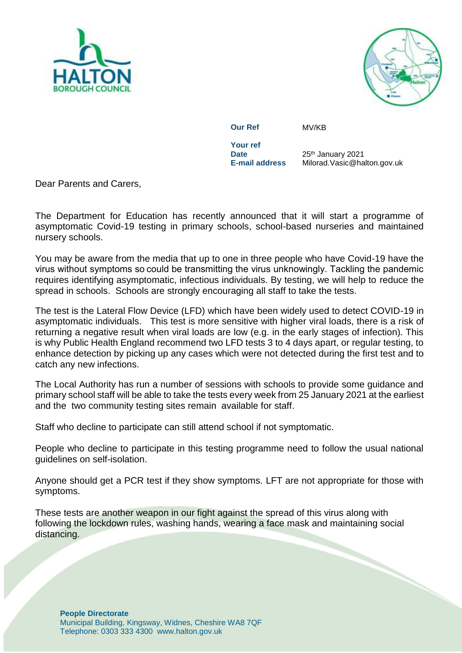



**Our Ref** MV/KB

**Your ref Date**<br>**E-mail address** 

25<sup>th</sup> January 2021 **E-mail address** Milorad.Vasic@halton.gov.uk

Dear Parents and Carers,

The Department for Education has recently announced that it will start a programme of asymptomatic Covid-19 testing in primary schools, school-based nurseries and maintained nursery schools.

You may be aware from the media that up to one in three people who have Covid-19 have the virus without symptoms so could be transmitting the virus unknowingly. Tackling the pandemic requires identifying asymptomatic, infectious individuals. By testing, we will help to reduce the spread in schools. Schools are strongly encouraging all staff to take the tests.

The test is the Lateral Flow Device (LFD) which have been widely used to detect COVID-19 in asymptomatic individuals. This test is more sensitive with higher viral loads, there is a risk of returning a negative result when viral loads are low (e.g. in the early stages of infection). This is why Public Health England recommend two LFD tests 3 to 4 days apart, or regular testing, to enhance detection by picking up any cases which were not detected during the first test and to catch any new infections.

The Local Authority has run a number of sessions with schools to provide some guidance and primary school staff will be able to take the tests every week from 25 January 2021 at the earliest and the two community testing sites remain available for staff.

Staff who decline to participate can still attend school if not symptomatic.

People who decline to participate in this testing programme need to follow the usual national guidelines on self-isolation.

Anyone should get a PCR test if they show symptoms. LFT are not appropriate for those with symptoms.

These tests are another weapon in our fight against the spread of this virus along with following the lockdown rules, washing hands, wearing a face mask and maintaining social distancing.